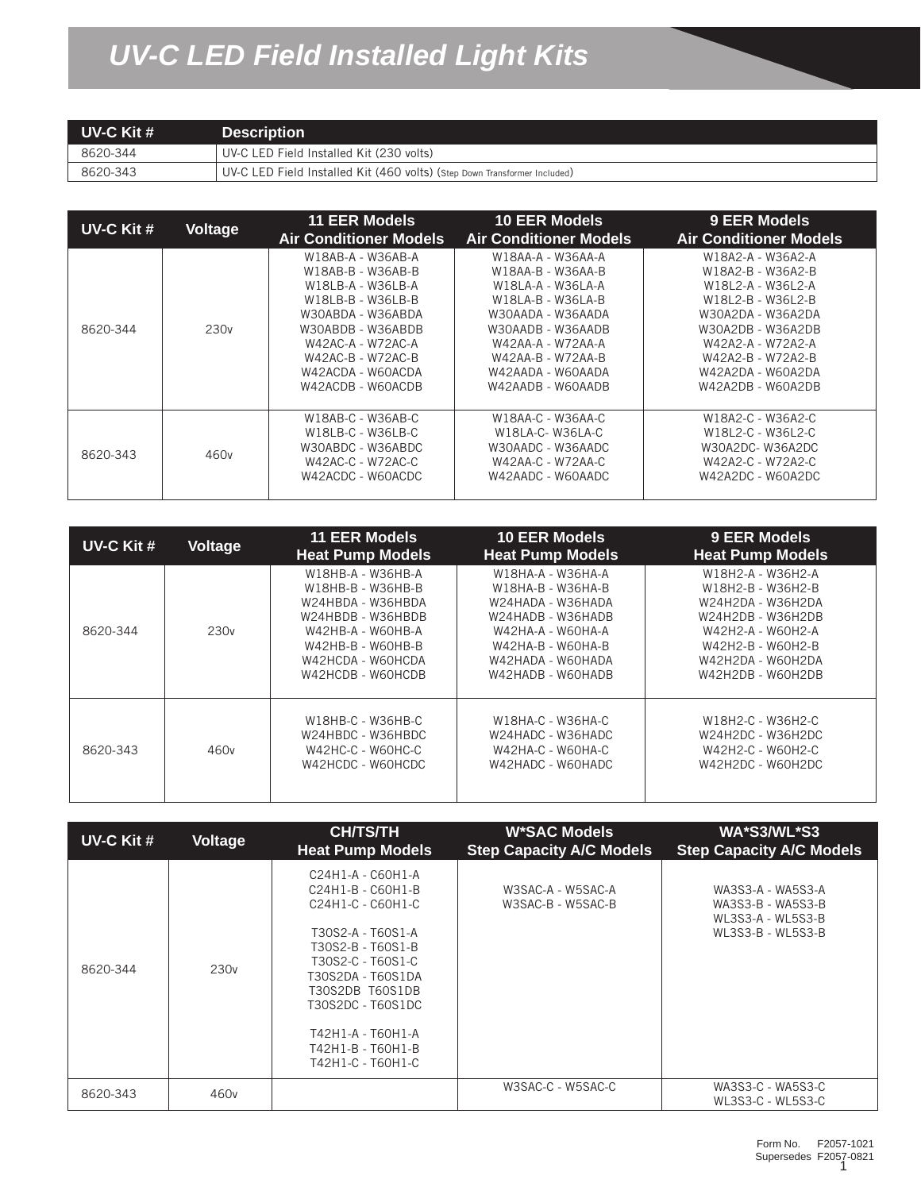## *UV-C LED Field Installed Light Kits*

| UV-C Kit $#$ | <b>Description</b>                                                        |  |  |
|--------------|---------------------------------------------------------------------------|--|--|
| 8620-344     | UV-C LED Field Installed Kit (230 volts)                                  |  |  |
| 8620-343     | UV-C LED Field Installed Kit (460 volts) (Step Down Transformer Included) |  |  |

| UV-C Kit # | Voltage          | <b>11 EER Models</b><br><b>Air Conditioner Models</b>                                                                                                                                                          | <b>10 EER Models</b><br><b>Air Conditioner Models</b>                                                                                                                                                          | 9 EER Models<br><b>Air Conditioner Models</b>                                                                                                                                                                  |
|------------|------------------|----------------------------------------------------------------------------------------------------------------------------------------------------------------------------------------------------------------|----------------------------------------------------------------------------------------------------------------------------------------------------------------------------------------------------------------|----------------------------------------------------------------------------------------------------------------------------------------------------------------------------------------------------------------|
| 8620-344   | 230 <sub>v</sub> | W18AB-A - W36AB-A<br>W18AB-B - W36AB-B<br>W18LB-A - W36LB-A<br>W18LB-B - W36LB-B<br>W30ABDA - W36ABDA<br>W30ABDB - W36ABDB<br>W42AC-A - W72AC-A<br>W42AC-B - W72AC-B<br>W42ACDA - W60ACDA<br>W42ACDB - W60ACDB | W18AA-A - W36AA-A<br>W18AA-B - W36AA-B<br>W18LA-A - W36LA-A<br>W18LA-B - W36LA-B<br>W30AADA - W36AADA<br>W30AADB - W36AADB<br>W42AA-A - W72AA-A<br>W42AA-B - W72AA-B<br>W42AADA - W60AADA<br>W42AADB - W60AADB | W18A2-A - W36A2-A<br>W18A2-B - W36A2-B<br>W18L2-A - W36L2-A<br>W18L2-B - W36L2-B<br>W30A2DA - W36A2DA<br>W30A2DB - W36A2DB<br>W42A2-A - W72A2-A<br>W42A2-B - W72A2-B<br>W42A2DA - W60A2DA<br>W42A2DB - W60A2DB |
| 8620-343   | 460 <sub>v</sub> | W18AB-C - W36AB-C<br>W18LB-C - W36LB-C<br>W30ABDC - W36ABDC<br>W42AC-C - W72AC-C<br>W42ACDC - W60ACDC                                                                                                          | W18AA-C - W36AA-C<br>W18LA-C-W36LA-C<br>W30AADC - W36AADC<br>W42AA-C - W72AA-C<br>W42AADC - W60AADC                                                                                                            | W18A2-C - W36A2-C<br>W18L2-C - W36L2-C<br>W30A2DC-W36A2DC<br>W42A2-C - W72A2-C<br>W42A2DC - W60A2DC                                                                                                            |

| UV-C Kit # | <b>Voltage</b>   | <b>11 EER Models</b><br><b>Heat Pump Models</b>                                                                                                                      | <b>10 EER Models</b><br><b>Heat Pump Models</b>                                                                                                                      | 9 EER Models<br><b>Heat Pump Models</b>                                                                                                                              |
|------------|------------------|----------------------------------------------------------------------------------------------------------------------------------------------------------------------|----------------------------------------------------------------------------------------------------------------------------------------------------------------------|----------------------------------------------------------------------------------------------------------------------------------------------------------------------|
| 8620-344   | 230 <sub>v</sub> | W18HB-A - W36HB-A<br>W18HB-B - W36HB-B<br>W24HBDA - W36HBDA<br>W24HBDB - W36HBDB<br>W42HB-A - W60HB-A<br>W42HB-B - W60HB-B<br>W42HCDA - W60HCDA<br>W42HCDB - W60HCDB | W18HA-A - W36HA-A<br>W18HA-B - W36HA-B<br>W24HADA - W36HADA<br>W24HADB - W36HADB<br>W42HA-A - W60HA-A<br>W42HA-B - W60HA-B<br>W42HADA - W60HADA<br>W42HADB - W60HADB | W18H2-A - W36H2-A<br>W18H2-B - W36H2-B<br>W24H2DA - W36H2DA<br>W24H2DB - W36H2DB<br>W42H2-A - W60H2-A<br>W42H2-B - W60H2-B<br>W42H2DA - W60H2DA<br>W42H2DB - W60H2DB |
| 8620-343   | 460 <sub>v</sub> | W18HB-C - W36HB-C<br>W24HBDC - W36HBDC<br>W42HC-C - W60HC-C<br>W42HCDC - W60HCDC                                                                                     | W18HA-C - W36HA-C<br>W24HADC - W36HADC<br>W42HA-C - W60HA-C<br>W42HADC - W60HADC                                                                                     | W18H2-C - W36H2-C<br>W24H2DC - W36H2DC<br>W42H2-C - W60H2-C<br>W42H2DC - W60H2DC                                                                                     |

| UV-C Kit # | Voltage          | <b>CH/TS/TH</b><br><b>Heat Pump Models</b>                                                                                                                                                                                                             | <b>W*SAC Models</b><br><b>Step Capacity A/C Models</b> | WA*S3/WL*S3<br><b>Step Capacity A/C Models</b>                                   |
|------------|------------------|--------------------------------------------------------------------------------------------------------------------------------------------------------------------------------------------------------------------------------------------------------|--------------------------------------------------------|----------------------------------------------------------------------------------|
| 8620-344   | 230 <sub>v</sub> | C24H1-A - C60H1-A<br>C24H1-B - C60H1-B<br>C24H1-C - C60H1-C<br>T30S2-A - T60S1-A<br>T30S2-B - T60S1-B<br>T30S2-C - T60S1-C<br>T30S2DA - T60S1DA<br>T30S2DB T60S1DB<br>T30S2DC - T60S1DC<br>T42H1-A - T60H1-A<br>T42H1-B - T60H1-B<br>T42H1-C - T60H1-C | W3SAC-A - W5SAC-A<br>W3SAC-B - W5SAC-B                 | WA3S3-A - WA5S3-A<br>WA3S3-B - WA5S3-B<br>WL3S3-A - WL5S3-B<br>WL3S3-B - WL5S3-B |
| 8620-343   | 460 <sub>v</sub> |                                                                                                                                                                                                                                                        | W3SAC-C - W5SAC-C                                      | WA3S3-C - WA5S3-C<br>WL3S3-C - WL5S3-C                                           |